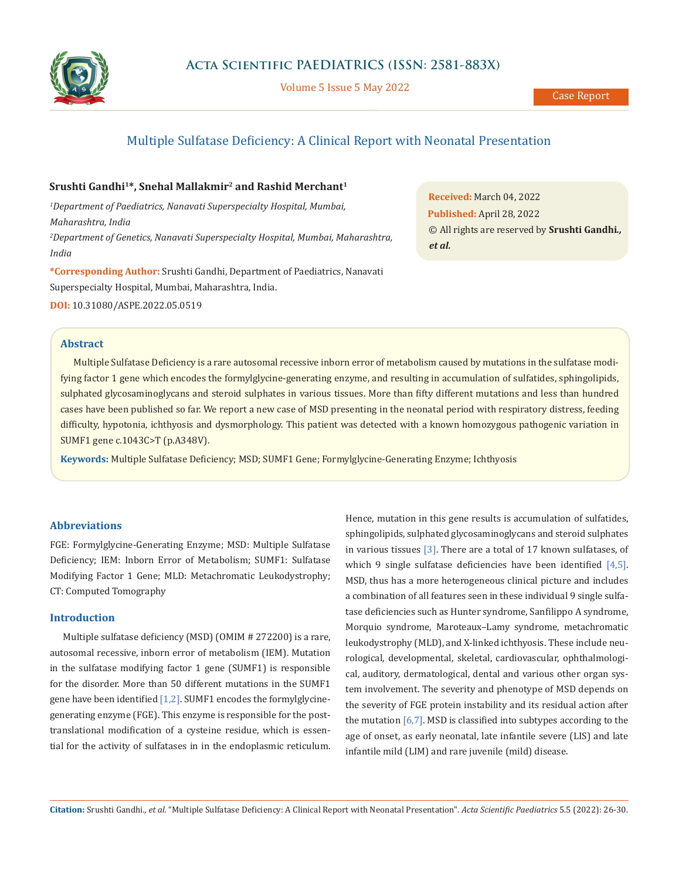

Volume 5 Issue 5 May 2022

# Multiple Sulfatase Deficiency: A Clinical Report with Neonatal Presentation

# **Srushti Gandhi1\*, Snehal Mallakmir2 and Rashid Merchant1**

*1 Department of Paediatrics, Nanavati Superspecialty Hospital, Mumbai, Maharashtra, India 2 Department of Genetics, Nanavati Superspecialty Hospital, Mumbai, Maharashtra, India*

**\*Corresponding Author:** Srushti Gandhi, Department of Paediatrics, Nanavati Superspecialty Hospital, Mumbai, Maharashtra, India.

**DOI:** [10.31080/ASPE.2022.05.0519](https://actascientific.com/ASPE/pdf/ASPE-05-0519.pdf)

## **Abstract**

**Received:** March 04, 2022 **Published:** April 28, 2022 © All rights are reserved by **Srushti Gandhi***., et al.*

Multiple Sulfatase Deficiency is a rare autosomal recessive inborn error of metabolism caused by mutations in the sulfatase modifying factor 1 gene which encodes the formylglycine-generating enzyme, and resulting in accumulation of sulfatides, sphingolipids, sulphated glycosaminoglycans and steroid sulphates in various tissues. More than fifty different mutations and less than hundred cases have been published so far. We report a new case of MSD presenting in the neonatal period with respiratory distress, feeding difficulty, hypotonia, ichthyosis and dysmorphology. This patient was detected with a known homozygous pathogenic variation in SUMF1 gene c.1043C>T (p.A348V).

**Keywords:** Multiple Sulfatase Deficiency; MSD; SUMF1 Gene; Formylglycine-Generating Enzyme; Ichthyosis

## **Abbreviations**

FGE: Formylglycine-Generating Enzyme; MSD: Multiple Sulfatase Deficiency; IEM: Inborn Error of Metabolism; SUMF1: Sulfatase Modifying Factor 1 Gene; MLD: Metachromatic Leukodystrophy; CT: Computed Tomography

# **Introduction**

Multiple sulfatase deficiency (MSD) (OMIM # 272200) is a rare, autosomal recessive, inborn error of metabolism (IEM). Mutation in the sulfatase modifying factor 1 gene (SUMF1) is responsible for the disorder. More than 50 different mutations in the SUMF1 gene have been identified [1,2]. SUMF1 encodes the formylglycinegenerating enzyme (FGE). This enzyme is responsible for the posttranslational modification of a cysteine residue, which is essential for the activity of sulfatases in in the endoplasmic reticulum. Hence, mutation in this gene results is accumulation of sulfatides, sphingolipids, sulphated glycosaminoglycans and steroid sulphates in various tissues [3]. There are a total of 17 known sulfatases, of which 9 single sulfatase deficiencies have been identified  $[4,5]$ . MSD, thus has a more heterogeneous clinical picture and includes a combination of all features seen in these individual 9 single sulfatase deficiencies such as Hunter syndrome, Sanfilippo A syndrome, Morquio syndrome, Maroteaux–Lamy syndrome, metachromatic leukodystrophy (MLD), and X-linked ichthyosis. These include neurological, developmental, skeletal, cardiovascular, ophthalmological, auditory, dermatological, dental and various other organ system involvement. The severity and phenotype of MSD depends on the severity of FGE protein instability and its residual action after the mutation  $[6,7]$ . MSD is classified into subtypes according to the age of onset, as early neonatal, late infantile severe (LIS) and late infantile mild (LIM) and rare juvenile (mild) disease.

**Citation:** Srushti Gandhi*., et al.* "Multiple Sulfatase Deficiency: A Clinical Report with Neonatal Presentation". *Acta Scientific Paediatrics* 5.5 (2022): 26-30.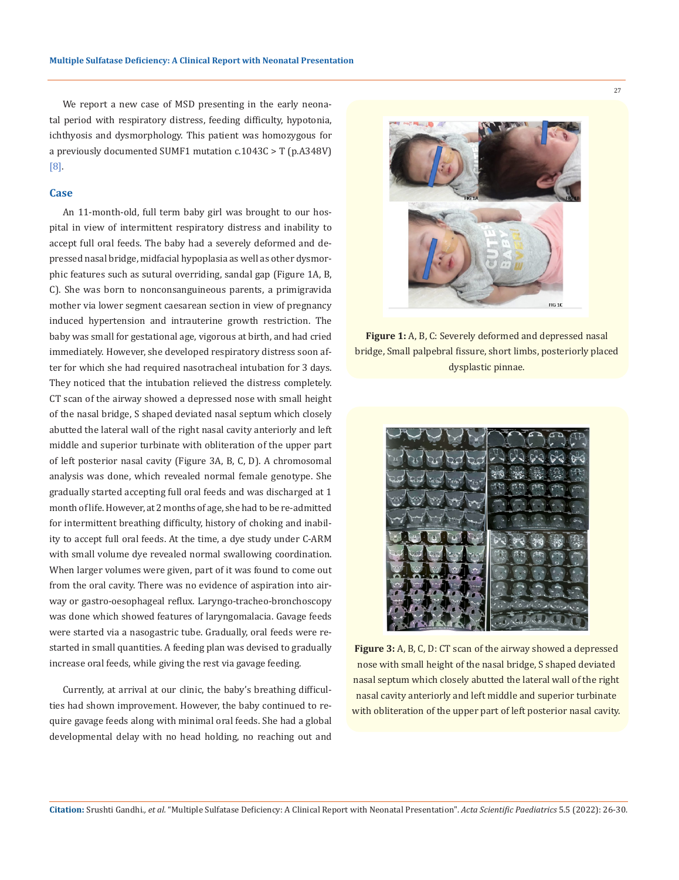We report a new case of MSD presenting in the early neonatal period with respiratory distress, feeding difficulty, hypotonia, ichthyosis and dysmorphology. This patient was homozygous for a previously documented SUMF1 mutation c.1043C > T (p.A348V) [8].

#### **Case**

An 11-month-old, full term baby girl was brought to our hospital in view of intermittent respiratory distress and inability to accept full oral feeds. The baby had a severely deformed and depressed nasal bridge, midfacial hypoplasia as well as other dysmorphic features such as sutural overriding, sandal gap (Figure 1A, B, C). She was born to nonconsanguineous parents, a primigravida mother via lower segment caesarean section in view of pregnancy induced hypertension and intrauterine growth restriction. The baby was small for gestational age, vigorous at birth, and had cried immediately. However, she developed respiratory distress soon after for which she had required nasotracheal intubation for 3 days. They noticed that the intubation relieved the distress completely. CT scan of the airway showed a depressed nose with small height of the nasal bridge, S shaped deviated nasal septum which closely abutted the lateral wall of the right nasal cavity anteriorly and left middle and superior turbinate with obliteration of the upper part of left posterior nasal cavity (Figure 3A, B, C, D). A chromosomal analysis was done, which revealed normal female genotype. She gradually started accepting full oral feeds and was discharged at 1 month of life. However, at 2 months of age, she had to be re-admitted for intermittent breathing difficulty, history of choking and inability to accept full oral feeds. At the time, a dye study under C-ARM with small volume dye revealed normal swallowing coordination. When larger volumes were given, part of it was found to come out from the oral cavity. There was no evidence of aspiration into airway or gastro-oesophageal reflux. Laryngo-tracheo-bronchoscopy was done which showed features of laryngomalacia. Gavage feeds were started via a nasogastric tube. Gradually, oral feeds were restarted in small quantities. A feeding plan was devised to gradually increase oral feeds, while giving the rest via gavage feeding.

Currently, at arrival at our clinic, the baby's breathing difficulties had shown improvement. However, the baby continued to require gavage feeds along with minimal oral feeds. She had a global developmental delay with no head holding, no reaching out and



**Figure 1:** A, B, C: Severely deformed and depressed nasal bridge, Small palpebral fissure, short limbs, posteriorly placed dysplastic pinnae.



**Figure 3:** A, B, C, D: CT scan of the airway showed a depressed nose with small height of the nasal bridge, S shaped deviated nasal septum which closely abutted the lateral wall of the right nasal cavity anteriorly and left middle and superior turbinate with obliteration of the upper part of left posterior nasal cavity.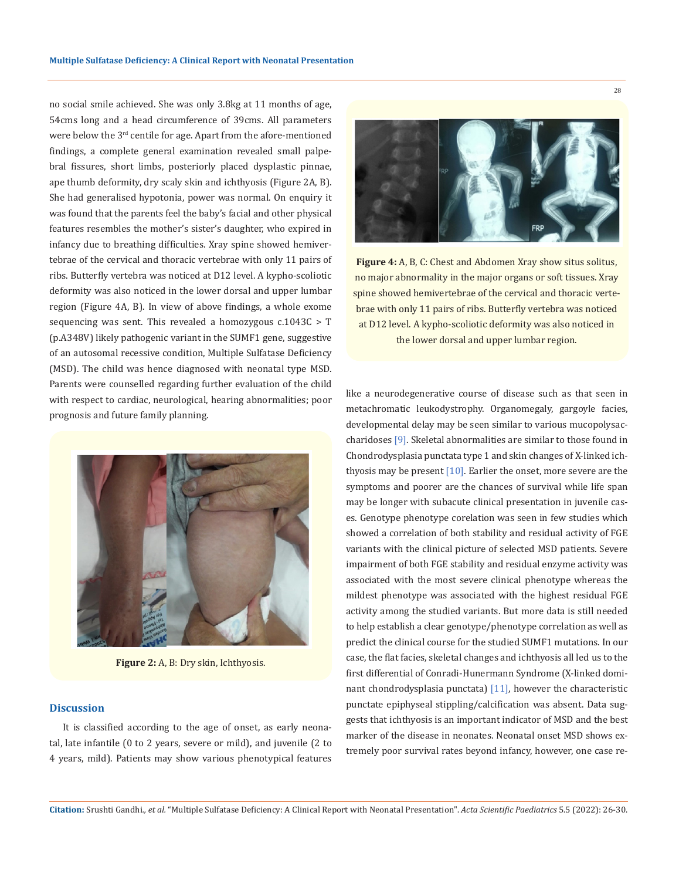no social smile achieved. She was only 3.8kg at 11 months of age, 54cms long and a head circumference of 39cms. All parameters were below the 3<sup>rd</sup> centile for age. Apart from the afore-mentioned findings, a complete general examination revealed small palpebral fissures, short limbs, posteriorly placed dysplastic pinnae, ape thumb deformity, dry scaly skin and ichthyosis (Figure 2A, B). She had generalised hypotonia, power was normal. On enquiry it was found that the parents feel the baby's facial and other physical features resembles the mother's sister's daughter, who expired in infancy due to breathing difficulties. Xray spine showed hemivertebrae of the cervical and thoracic vertebrae with only 11 pairs of ribs. Butterfly vertebra was noticed at D12 level. A kypho-scoliotic deformity was also noticed in the lower dorsal and upper lumbar region (Figure 4A, B). In view of above findings, a whole exome sequencing was sent. This revealed a homozygous c.1043C > T (p.A348V) likely pathogenic variant in the SUMF1 gene, suggestive of an autosomal recessive condition, Multiple Sulfatase Deficiency (MSD). The child was hence diagnosed with neonatal type MSD. Parents were counselled regarding further evaluation of the child with respect to cardiac, neurological, hearing abnormalities; poor prognosis and future family planning.



**Figure 2:** A, B: Dry skin, Ichthyosis.

### **Discussion**

It is classified according to the age of onset, as early neonatal, late infantile (0 to 2 years, severe or mild), and juvenile (2 to 4 years, mild). Patients may show various phenotypical features



**Figure 4:** A, B, C: Chest and Abdomen Xray show situs solitus, no major abnormality in the major organs or soft tissues. Xray spine showed hemivertebrae of the cervical and thoracic vertebrae with only 11 pairs of ribs. Butterfly vertebra was noticed at D12 level. A kypho-scoliotic deformity was also noticed in the lower dorsal and upper lumbar region.

like a neurodegenerative course of disease such as that seen in metachromatic leukodystrophy. Organomegaly, gargoyle facies, developmental delay may be seen similar to various mucopolysaccharidoses [9]. Skeletal abnormalities are similar to those found in Chondrodysplasia punctata type 1 and skin changes of X-linked ichthyosis may be present  $[10]$ . Earlier the onset, more severe are the symptoms and poorer are the chances of survival while life span may be longer with subacute clinical presentation in juvenile cases. Genotype phenotype corelation was seen in few studies which showed a correlation of both stability and residual activity of FGE variants with the clinical picture of selected MSD patients. Severe impairment of both FGE stability and residual enzyme activity was associated with the most severe clinical phenotype whereas the mildest phenotype was associated with the highest residual FGE activity among the studied variants. But more data is still needed to help establish a clear genotype/phenotype correlation as well as predict the clinical course for the studied SUMF1 mutations. In our case, the flat facies, skeletal changes and ichthyosis all led us to the first differential of Conradi-Hunermann Syndrome (X-linked dominant chondrodysplasia punctata) [11], however the characteristic punctate epiphyseal stippling/calcification was absent. Data suggests that ichthyosis is an important indicator of MSD and the best marker of the disease in neonates. Neonatal onset MSD shows extremely poor survival rates beyond infancy, however, one case re-

**Citation:** Srushti Gandhi*., et al.* "Multiple Sulfatase Deficiency: A Clinical Report with Neonatal Presentation". *Acta Scientific Paediatrics* 5.5 (2022): 26-30.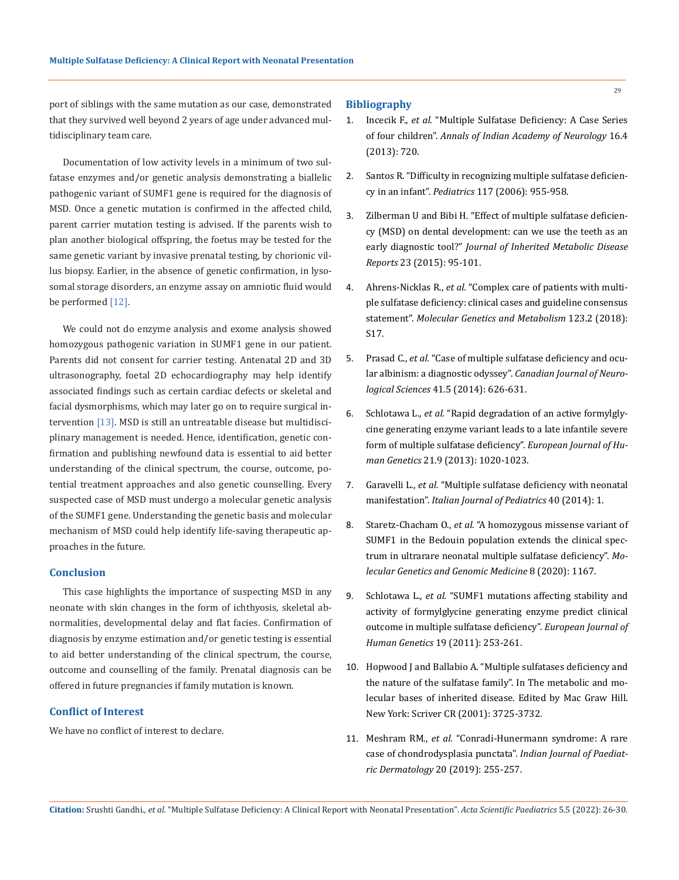port of siblings with the same mutation as our case, demonstrated that they survived well beyond 2 years of age under advanced multidisciplinary team care.

Documentation of low activity levels in a minimum of two sulfatase enzymes and/or genetic analysis demonstrating a biallelic pathogenic variant of SUMF1 gene is required for the diagnosis of MSD. Once a genetic mutation is confirmed in the affected child, parent carrier mutation testing is advised. If the parents wish to plan another biological offspring, the foetus may be tested for the same genetic variant by invasive prenatal testing, by chorionic villus biopsy. Earlier, in the absence of genetic confirmation, in lysosomal storage disorders, an enzyme assay on amniotic fluid would be performed [12].

We could not do enzyme analysis and exome analysis showed homozygous pathogenic variation in SUMF1 gene in our patient. Parents did not consent for carrier testing. Antenatal 2D and 3D ultrasonography, foetal 2D echocardiography may help identify associated findings such as certain cardiac defects or skeletal and facial dysmorphisms, which may later go on to require surgical intervention [13]. MSD is still an untreatable disease but multidisciplinary management is needed. Hence, identification, genetic confirmation and publishing newfound data is essential to aid better understanding of the clinical spectrum, the course, outcome, potential treatment approaches and also genetic counselling. Every suspected case of MSD must undergo a molecular genetic analysis of the SUMF1 gene. Understanding the genetic basis and molecular mechanism of MSD could help identify life-saving therapeutic approaches in the future.

#### **Conclusion**

This case highlights the importance of suspecting MSD in any neonate with skin changes in the form of ichthyosis, skeletal abnormalities, developmental delay and flat facies. Confirmation of diagnosis by enzyme estimation and/or genetic testing is essential to aid better understanding of the clinical spectrum, the course, outcome and counselling of the family. Prenatal diagnosis can be offered in future pregnancies if family mutation is known.

#### **Conflict of Interest**

We have no conflict of interest to declare.

#### **Bibliography**

- 1. Incecik F., *et al.* ["Multiple Sulfatase Deficiency: A Case Series](https://pubmed.ncbi.nlm.nih.gov/24339620/)  of four children". *[Annals of Indian Academy of Neurology](https://pubmed.ncbi.nlm.nih.gov/24339620/)* 16.4 [\(2013\): 720.](https://pubmed.ncbi.nlm.nih.gov/24339620/)
- 2. [Santos R. "Difficulty in recognizing multiple sulfatase deficien](https://pubmed.ncbi.nlm.nih.gov/16510683/)cy in an infant". *Pediatrics* [117 \(2006\): 955-958.](https://pubmed.ncbi.nlm.nih.gov/16510683/)
- 3. [Zilberman U and Bibi H. "Effect of multiple sulfatase deficien](https://pubmed.ncbi.nlm.nih.gov/27344646/)[cy \(MSD\) on dental development: can we use the teeth as an](https://pubmed.ncbi.nlm.nih.gov/27344646/)  early diagnostic tool?" *[Journal of Inherited Metabolic Disease](https://pubmed.ncbi.nlm.nih.gov/27344646/)  Reports* [23 \(2015\): 95-101.](https://pubmed.ncbi.nlm.nih.gov/27344646/)
- 4. Ahrens-Nicklas R., *et al.* ["Complex care of patients with multi](https://pubmed.ncbi.nlm.nih.gov/29397290/)[ple sulfatase deficiency: clinical cases and guideline consensus](https://pubmed.ncbi.nlm.nih.gov/29397290/)  statement". *[Molecular Genetics and Metabolism](https://pubmed.ncbi.nlm.nih.gov/29397290/)* 123.2 (2018): [S17.](https://pubmed.ncbi.nlm.nih.gov/29397290/)
- 5. Prasad C., *et al.* ["Case of multiple sulfatase deficiency and ocu](https://pubmed.ncbi.nlm.nih.gov/25373814/)[lar albinism: a diagnostic odyssey".](https://pubmed.ncbi.nlm.nih.gov/25373814/) *Canadian Journal of Neurological Sciences* [41.5 \(2014\): 626-631.](https://pubmed.ncbi.nlm.nih.gov/25373814/)
- 6. Schlotawa L., *et al.* ["Rapid degradation of an active formylgly](https://www.nature.com/articles/ejhg2012291)[cine generating enzyme variant leads to a late infantile severe](https://www.nature.com/articles/ejhg2012291)  [form of multiple sulfatase deficiency".](https://www.nature.com/articles/ejhg2012291) *European Journal of Human Genetics* [21.9 \(2013\): 1020-1023.](https://www.nature.com/articles/ejhg2012291)
- 7. Garavelli L., *et al.* ["Multiple sulfatase deficiency with neonatal](https://www.ncbi.nlm.nih.gov/pmc/articles/PMC4299397/)  manifestation". *[Italian Journal of Pediatrics](https://www.ncbi.nlm.nih.gov/pmc/articles/PMC4299397/)* 40 (2014): 1.
- 8. Staretz-Chacham O., *et al.* ["A homozygous missense variant of](https://pubmed.ncbi.nlm.nih.gov/32048457/)  [SUMF1 in the Bedouin population extends the clinical spec](https://pubmed.ncbi.nlm.nih.gov/32048457/)[trum in ultrarare neonatal multiple sulfatase deficiency".](https://pubmed.ncbi.nlm.nih.gov/32048457/) *Mo[lecular Genetics and Genomic Medicine](https://pubmed.ncbi.nlm.nih.gov/32048457/)* 8 (2020): 1167.
- 9. Schlotawa L., *et al.* ["SUMF1 mutations affecting stability and](https://pubmed.ncbi.nlm.nih.gov/21224894/)  [activity of formylglycine generating enzyme predict clinical](https://pubmed.ncbi.nlm.nih.gov/21224894/)  [outcome in multiple sulfatase deficiency".](https://pubmed.ncbi.nlm.nih.gov/21224894/) *European Journal of Human Genetics* [19 \(2011\): 253-261.](https://pubmed.ncbi.nlm.nih.gov/21224894/)
- 10. [Hopwood J and Ballabio A. "Multiple sulfatases deficiency and](https://ommbid.mhmedical.com/content.aspx?bookid=2709§ionid=225546905)  [the nature of the sulfatase family". In The metabolic and mo](https://ommbid.mhmedical.com/content.aspx?bookid=2709§ionid=225546905)[lecular bases of inherited disease. Edited by Mac Graw Hill.](https://ommbid.mhmedical.com/content.aspx?bookid=2709§ionid=225546905)  [New York: Scriver CR \(2001\): 3725-3732.](https://ommbid.mhmedical.com/content.aspx?bookid=2709§ionid=225546905)
- 11. Meshram RM., *et al.* ["Conradi-Hunermann syndrome: A rare](https://www.researchgate.net/publication/334088773_Conradi-Hunermann_syndrome_A_rare_case_of_chondrodysplasia_punctata)  [case of chondrodysplasia punctata".](https://www.researchgate.net/publication/334088773_Conradi-Hunermann_syndrome_A_rare_case_of_chondrodysplasia_punctata) *Indian Journal of Paediatric Dermatology* [20 \(2019\): 255-257.](https://www.researchgate.net/publication/334088773_Conradi-Hunermann_syndrome_A_rare_case_of_chondrodysplasia_punctata)

**Citation:** Srushti Gandhi*., et al.* "Multiple Sulfatase Deficiency: A Clinical Report with Neonatal Presentation". *Acta Scientific Paediatrics* 5.5 (2022): 26-30.